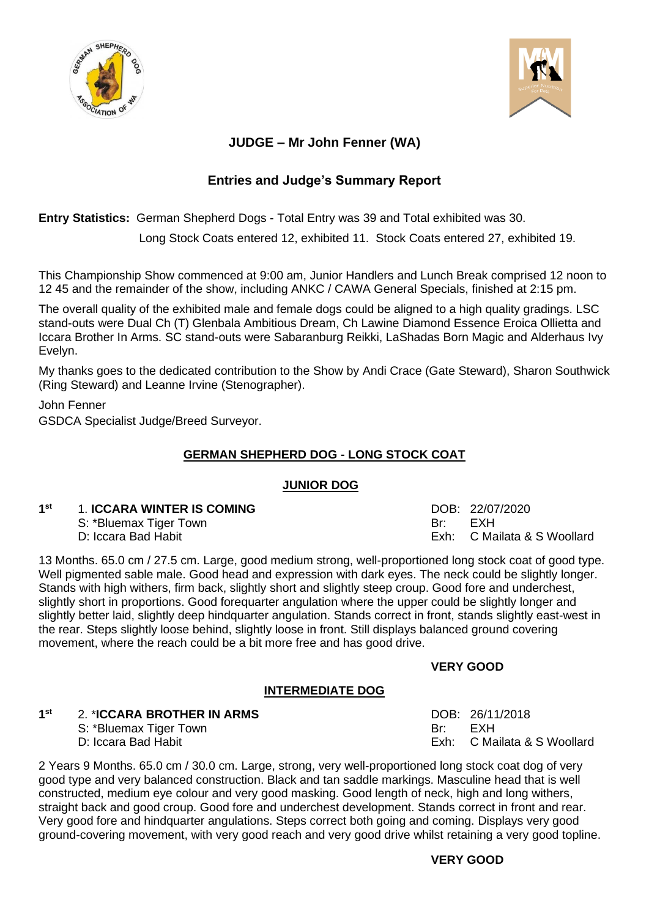



## **JUDGE – Mr John Fenner (WA)**

## **Entries and Judge's Summary Report**

**Entry Statistics:** German Shepherd Dogs - Total Entry was 39 and Total exhibited was 30.

Long Stock Coats entered 12, exhibited 11. Stock Coats entered 27, exhibited 19.

This Championship Show commenced at 9:00 am, Junior Handlers and Lunch Break comprised 12 noon to 12 45 and the remainder of the show, including ANKC / CAWA General Specials, finished at 2:15 pm.

The overall quality of the exhibited male and female dogs could be aligned to a high quality gradings. LSC stand-outs were Dual Ch (T) Glenbala Ambitious Dream, Ch Lawine Diamond Essence Eroica Ollietta and Iccara Brother In Arms. SC stand-outs were Sabaranburg Reikki, LaShadas Born Magic and Alderhaus Ivy Evelyn.

My thanks goes to the dedicated contribution to the Show by Andi Crace (Gate Steward), Sharon Southwick (Ring Steward) and Leanne Irvine (Stenographer).

John Fenner

GSDCA Specialist Judge/Breed Surveyor.

## **GERMAN SHEPHERD DOG - LONG STOCK COAT**

## **JUNIOR DOG**

| 1st | <b>1. ICCARA WINTER IS COMING</b> |     | DOB: 22/07/2020             |
|-----|-----------------------------------|-----|-----------------------------|
|     | S: *Bluemax Tiger Town            | Br∵ | FXH                         |
|     | D: Iccara Bad Habit               |     | Exh: C Mailata & S Woollard |

13 Months. 65.0 cm / 27.5 cm. Large, good medium strong, well-proportioned long stock coat of good type. Well pigmented sable male. Good head and expression with dark eyes. The neck could be slightly longer. Stands with high withers, firm back, slightly short and slightly steep croup. Good fore and underchest, slightly short in proportions. Good forequarter angulation where the upper could be slightly longer and slightly better laid, slightly deep hindquarter angulation. Stands correct in front, stands slightly east-west in the rear. Steps slightly loose behind, slightly loose in front. Still displays balanced ground covering movement, where the reach could be a bit more free and has good drive.

## **VERY GOOD**

## **INTERMEDIATE DOG**

#### **1 st** 2. \***ICCARA BROTHER IN ARMS** DOB: 26/11/2018

S: \*Bluemax Tiger Town Br: Br: EXH

D: Iccara Bad Habit Exh: C Mailata & S Woollard

2 Years 9 Months. 65.0 cm / 30.0 cm. Large, strong, very well-proportioned long stock coat dog of very good type and very balanced construction. Black and tan saddle markings. Masculine head that is well constructed, medium eye colour and very good masking. Good length of neck, high and long withers, straight back and good croup. Good fore and underchest development. Stands correct in front and rear. Very good fore and hindquarter angulations. Steps correct both going and coming. Displays very good ground-covering movement, with very good reach and very good drive whilst retaining a very good topline.

## **VERY GOOD**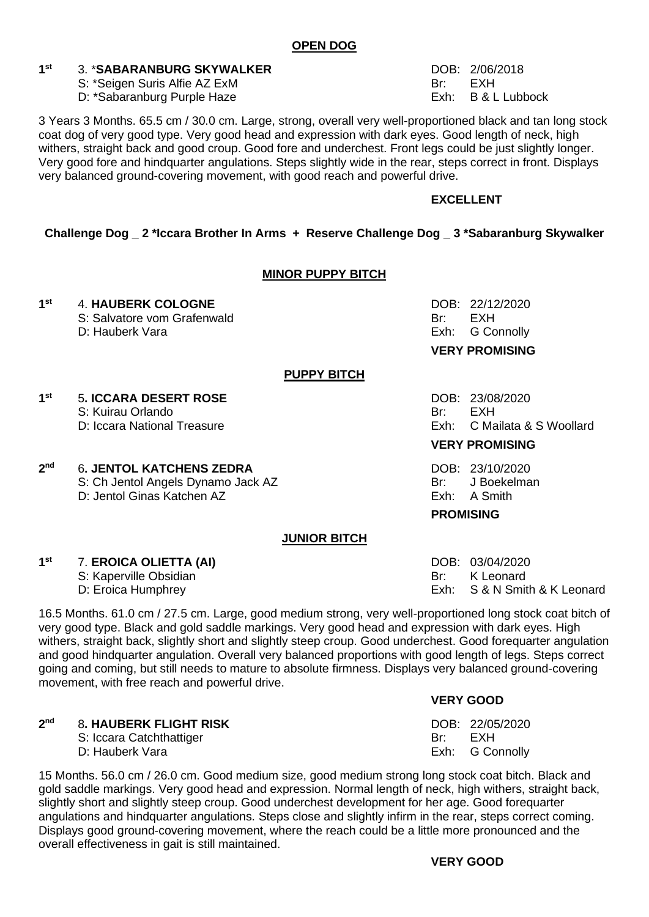#### **1 3. \*SABARANBURG SKYWALKER** DOB: 2/06/2018

- S: \*Seigen Suris Alfie AZ ExM Br: Br: EXH
- D: \*Sabaranburg Purple Haze **Exh:** B & L Lubbock

3 Years 3 Months. 65.5 cm / 30.0 cm. Large, strong, overall very well-proportioned black and tan long stock coat dog of very good type. Very good head and expression with dark eves. Good length of neck. high withers, straight back and good croup. Good fore and underchest. Front legs could be just slightly longer. Very good fore and hindquarter angulations. Steps slightly wide in the rear, steps correct in front. Displays very balanced ground-covering movement, with good reach and powerful drive.

## **EXCELLENT**

## **Challenge Dog \_ 2 \*Iccara Brother In Arms + Reserve Challenge Dog \_ 3 \*Sabaranburg Skywalker**

### **MINOR PUPPY BITCH**

#### **1**st **st** 4. **HAUBERK COLOGNE** DOB: 22/12/2020

- S: Salvatore vom Grafenwald Br: EXH<br>D: Hauberk Vara Br: EXH
- 

## **PUPPY BITCH**

**1 5. ICCARA DESERT ROSE** DOB: 23/08/2020

- S: Kuirau Orlando **Br:** EXH
- 

### **2 6. JENTOL KATCHENS ZEDRA** DOB: 23/10/2020

S: Ch Jentol Angels Dynamo Jack AZ Br: J Boekelman D: Jentol Ginas Katchen AZ **Exh: A Smith** Exh: A Smith

## **JUNIOR BITCH**

#### **1 st** 7. **EROICA OLIETTA (AI)** DOB: 03/04/2020

- S: Kaperville Obsidian Br: K Leonard
- 

16.5 Months. 61.0 cm / 27.5 cm. Large, good medium strong, very well-proportioned long stock coat bitch of very good type. Black and gold saddle markings. Very good head and expression with dark eyes. High withers, straight back, slightly short and slightly steep croup. Good underchest. Good forequarter angulation and good hindquarter angulation. Overall very balanced proportions with good length of legs. Steps correct going and coming, but still needs to mature to absolute firmness. Displays very balanced ground-covering movement, with free reach and powerful drive.

| 2 <sub>nd</sub> | <b>8. HAUBERK FLIGHT RISK</b> | DOB: 22/05/2020 |  |
|-----------------|-------------------------------|-----------------|--|
|                 | S: Iccara Catchthattiger      | Br: EXH         |  |
|                 | D: Hauberk Vara               | Exh: G Connolly |  |

15 Months. 56.0 cm / 26.0 cm. Good medium size, good medium strong long stock coat bitch. Black and gold saddle markings. Very good head and expression. Normal length of neck, high withers, straight back, slightly short and slightly steep croup. Good underchest development for her age. Good forequarter angulations and hindquarter angulations. Steps close and slightly infirm in the rear, steps correct coming. Displays good ground-covering movement, where the reach could be a little more pronounced and the overall effectiveness in gait is still maintained.

## **VERY GOOD**

D: Eroica Humphrey **Exh:** S & N Smith & K Leonard

D: Hauberk Vara **Exh:** G Connolly **VERY PROMISING**

D: Iccara National Treasure **Exh: C Mailata & S Woollard** Exh: C Mailata & S Woollard

## **VERY PROMISING**

## **PROMISING**

**VERY GOOD**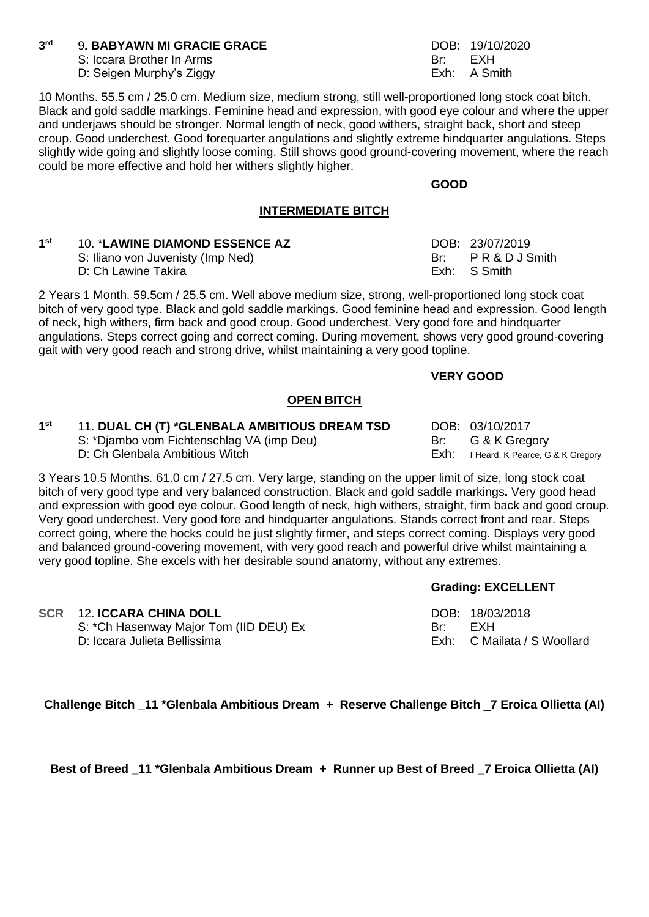#### **3 9. BABYAWN MI GRACIE GRACE** DOB: 19/10/2020

S: Iccara Brother In Arms Br: EXH

D: Seigen Murphy's Ziggy Exh: A Smith

10 Months. 55.5 cm / 25.0 cm. Medium size, medium strong, still well-proportioned long stock coat bitch. Black and gold saddle markings. Feminine head and expression, with good eye colour and where the upper and underjaws should be stronger. Normal length of neck, good withers, straight back, short and steep croup. Good underchest. Good forequarter angulations and slightly extreme hindquarter angulations. Steps slightly wide going and slightly loose coming. Still shows good ground-covering movement, where the reach could be more effective and hold her withers slightly higher.

**GOOD**

## **INTERMEDIATE BITCH**

| 1 <sup>st</sup> | <b>10. *LAWINE DIAMOND ESSENCE AZ</b> | DOB: 23/07/2019 |
|-----------------|---------------------------------------|-----------------|
|                 | S: Iliano von Juvenisty (Imp Ned)     | Br: PR&DJSmith  |

D: Ch Lawine Takira **Exh:** Exh: S Smith

2 Years 1 Month. 59.5cm / 25.5 cm. Well above medium size, strong, well-proportioned long stock coat bitch of very good type. Black and gold saddle markings. Good feminine head and expression. Good length of neck, high withers, firm back and good croup. Good underchest. Very good fore and hindquarter angulations. Steps correct going and correct coming. During movement, shows very good ground-covering gait with very good reach and strong drive, whilst maintaining a very good topline.

## **VERY GOOD**

## **OPEN BITCH**

| 1 <sup>st</sup> | 11. DUAL CH (T) *GLENBALA AMBITIOUS DREAM TSD | DOB: 03/10/2017                       |
|-----------------|-----------------------------------------------|---------------------------------------|
|                 | S: *Djambo vom Fichtenschlag VA (imp Deu)     | Br: G & K Gregory                     |
|                 | D: Ch Glenbala Ambitious Witch                | Exh: I Heard, K Pearce, G & K Gregory |

3 Years 10.5 Months. 61.0 cm / 27.5 cm. Very large, standing on the upper limit of size, long stock coat bitch of very good type and very balanced construction. Black and gold saddle markings**.** Very good head and expression with good eye colour. Good length of neck, high withers, straight, firm back and good croup. Very good underchest. Very good fore and hindquarter angulations. Stands correct front and rear. Steps correct going, where the hocks could be just slightly firmer, and steps correct coming. Displays very good and balanced ground-covering movement, with very good reach and powerful drive whilst maintaining a very good topline. She excels with her desirable sound anatomy, without any extremes.

## **Grading: EXCELLENT**

**Challenge Bitch \_11 \*Glenbala Ambitious Dream + Reserve Challenge Bitch** \_**7 Eroica Ollietta (AI)**

**Best of Breed \_11 \*Glenbala Ambitious Dream + Runner up Best of Breed \_7 Eroica Ollietta (AI)**

**SCR** 12. **ICCARA CHINA DOLL** DOB: 18/03/2018

S: \*Ch Hasenway Major Tom (IID DEU) Ex Br: EXH<br>D: Iccara Julieta Bellissima<br>Bishing Exh: C Mailata / S Woollard D: Iccara Julieta Bellissima **Exh:** C Mailata **Exh:** C Woollard Bellissima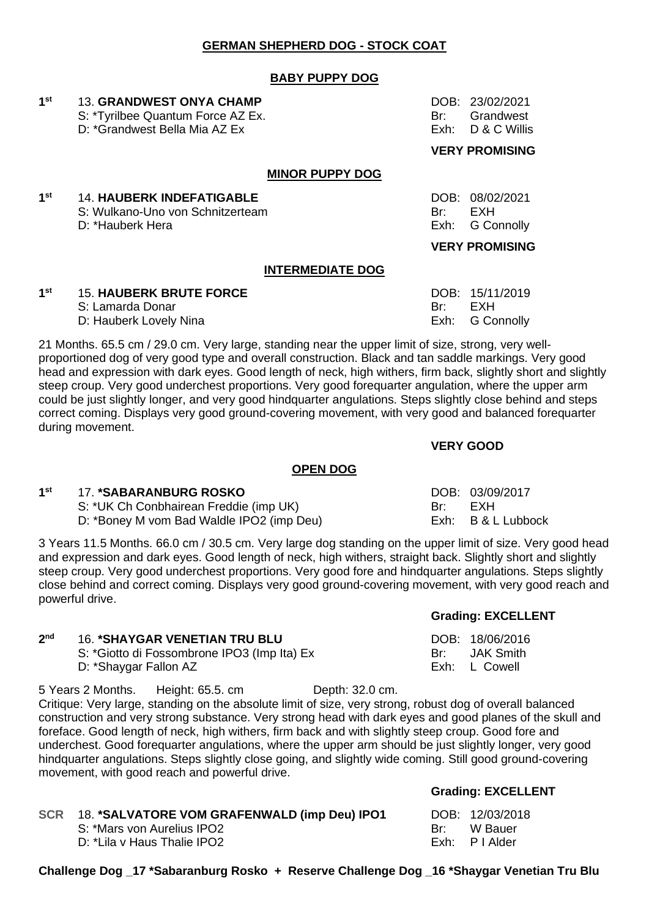## **GERMAN SHEPHERD DOG - STOCK COAT**

### **BABY PUPPY DOG**

| 1 <sup>st</sup> | <b>13. GRANDWEST ONYA CHAMP</b><br>S: *Tyrilbee Quantum Force AZ Ex.<br>D: *Grandwest Bella Mia AZ Ex | Br:<br>Exh: | DOB: 23/02/2021<br>Grandwest<br>D & C Willis                         |
|-----------------|-------------------------------------------------------------------------------------------------------|-------------|----------------------------------------------------------------------|
|                 |                                                                                                       |             | <b>VERY PROMISING</b>                                                |
|                 | <b>MINOR PUPPY DOG</b>                                                                                |             |                                                                      |
| 1 <sup>st</sup> | <b>14. HAUBERK INDEFATIGABLE</b><br>S: Wulkano-Uno von Schnitzerteam<br>D: *Hauberk Hera              | Br:<br>Exh: | DOB: 08/02/2021<br>EXH<br><b>G Connolly</b><br><b>VERY PROMISING</b> |
|                 | <b>INTERMEDIATE DOG</b>                                                                               |             |                                                                      |
| 1 <sup>st</sup> |                                                                                                       |             |                                                                      |
|                 | <b>15. HAUBERK BRUTE FORCE</b>                                                                        |             | DOB: 15/11/2019                                                      |

S: Lamarda Donar Br: EXH

D: Hauberk Lovely Nina **Exh:** G Connolly 21 Months. 65.5 cm / 29.0 cm. Very large, standing near the upper limit of size, strong, very wellproportioned dog of very good type and overall construction. Black and tan saddle markings. Very good head and expression with dark eyes. Good length of neck, high withers, firm back, slightly short and slightly steep croup. Very good underchest proportions. Very good forequarter angulation, where the upper arm could be just slightly longer, and very good hindquarter angulations. Steps slightly close behind and steps correct coming. Displays very good ground-covering movement, with very good and balanced forequarter during movement.

### **VERY GOOD**

### **OPEN DOG**

#### **1 st** 17. **\*SABARANBURG ROSKO** DOB: 03/09/2017

 $2<sub>nd</sub>$ 

S: \*UK Ch Conbhairean Freddie (imp UK) Br: EXH D: \*Boney M vom Bad Waldle IPO2 (imp Deu) Exh: B & L Lubbock

**16. \*SHAYGAR VENETIAN TRU BLU** 

movement, with good reach and powerful drive.

S: \*Giotto di Fossombrone IPO3 (Imp Ita) Ex

3 Years 11.5 Months. 66.0 cm / 30.5 cm. Very large dog standing on the upper limit of size. Very good head and expression and dark eyes. Good length of neck, high withers, straight back. Slightly short and slightly steep croup. Very good underchest proportions. Very good fore and hindquarter angulations. Steps slightly close behind and correct coming. Displays very good ground-covering movement, with very good reach and powerful drive.

### **Grading: EXCELLENT**

| DOB:  | 18/06/2016       |
|-------|------------------|
| Br: . | <b>JAK Smith</b> |
| Exh:  | L Cowell         |

D: \*Shaygar Fallon AZ 5 Years 2 Months. Height: 65.5. cm Depth: 32.0 cm. Critique: Very large, standing on the absolute limit of size, very strong, robust dog of overall balanced construction and very strong substance. Very strong head with dark eyes and good planes of the skull and foreface. Good length of neck, high withers, firm back and with slightly steep croup. Good fore and underchest. Good forequarter angulations, where the upper arm should be just slightly longer, very good hindquarter angulations. Steps slightly close going, and slightly wide coming. Still good ground-covering

| SCR 18. *SALVATORE VOM GRAFENWALD (imp Deu) IPO1 |       | DOB: 12/03/2018 |
|--------------------------------------------------|-------|-----------------|
| S: *Mars von Aurelius IPO2                       | – Br' | M Bauer         |
| D: *Lila v Haus Thalie IPO2                      |       | Exh: PIAlder    |

### **Grading: EXCELLENT**

| DOB: | 12/03/2018 |
|------|------------|
| Br:  | W Bauer    |
| Exh: | P I Alder  |

**Challenge Dog \_17 \*Sabaranburg Rosko + Reserve Challenge Dog \_16 \*Shaygar Venetian Tru Blu**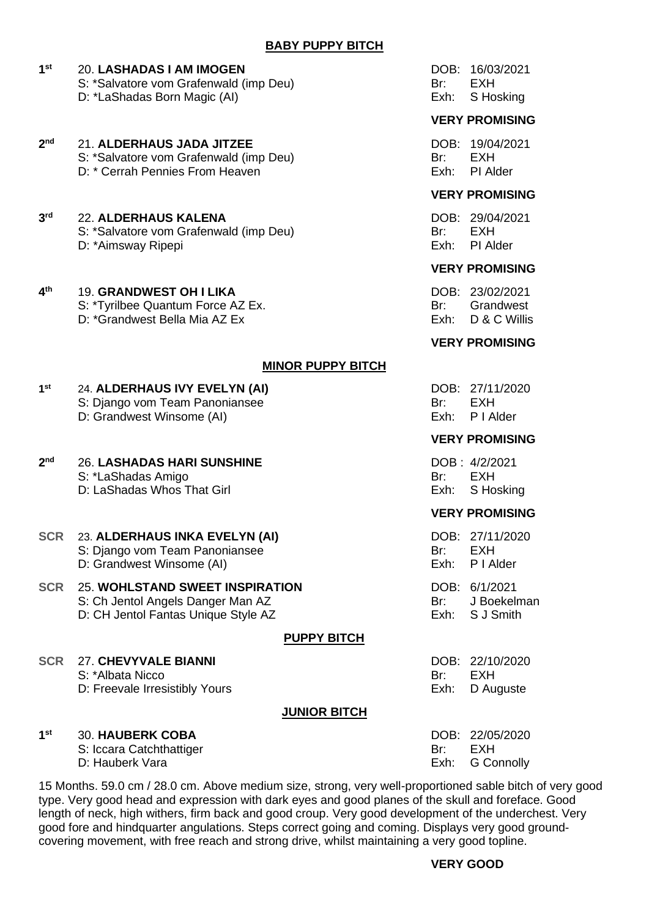#### **1 st** 20. **LASHADAS I AM IMOGEN** DOB: 16/03/2021

- S: \*Salvatore vom Grafenwald (imp Deu) Br: EXH
- D: \*LaShadas Born Magic (AI) example a series of the series of the Series of the Series of the Series of the Series of the Series of the Series of the Series of the Series of the Series of the Series of the Series of the S

#### **2 nd** 21. **ALDERHAUS JADA JITZEE** DOB: 19/04/2021

- S: \*Salvatore vom Grafenwald (imp Deu) Br: EXH
- D: \* Cerrah Pennies From Heaven **Exh: PI Alder** Exh: PI Alder

#### **3 rd** 22. **ALDERHAUS KALENA** DOB: 29/04/2021

- S: \*Salvatore vom Grafenwald (imp Deu) Br: EXH
- D: \*Aimsway Ripepi **Exh:** PI Alder

#### **4 the GRANDWEST OH I LIKA** DOB: 23/02/2021

- S: \*Tyrilbee Quantum Force AZ Ex.<br>D: \*Grandwest Bella Mia AZ Ex. Br: Br: Grandwest Br: Grandwest Bella Mia AZ Ex.
- $D: \triangle^c$ Grandwest Bella Mia AZ Ex

## **MINOR PUPPY BITCH**

#### **1 st** 24. **ALDERHAUS IVY EVELYN (AI)** DOB: 27/11/2020 S: Diango vom Team Panoniansee Br: EXH

D: Grandwest Winsome (AI) exh: P I Alder

#### $2<sub>nd</sub>$ **nd** 26. **LASHADAS HARI SUNSHINE** DOB : 4/2/2021 S: \*LaShadas Amigo Br: Br: EXH

D: LaShadas Whos That Girl **Exh:** S Hosking

## **SCR** 23. **ALDERHAUS INKA EVELYN (AI)** DOB: 27/11/2020

- S: Django vom Team Panoniansee Br: Br: EXH
	- D: Grandwest Winsome (AI) Exh: P I Alder

### **SCR** 25. **WOHLSTAND SWEET INSPIRATION** DOB: 6/1/2021 S: Ch Jentol Angels Danger Man AZ Br: J Boekelman

D: CH Jentol Fantas Unique Style AZ Exh: S J Smith

## **PUPPY BITCH**

### **SCR** 27. **CHEVYVALE BIANNI** DOB: 22/10/2020 S: \*Albata Nicco **Br: EXH**

D: Freevale Irresistibly Yours **Exh:** D Auguste

## **JUNIOR BITCH**

#### **1 SO. HAUBERK COBA** DOB: 22/05/2020

- S: Iccara Catchthattiger Br: EXH
- D: Hauberk Vara **Exh:** G Connolly

## **VERY PROMISING**

## **VERY PROMISING**

## **VERY PROMISING**

## **VERY PROMISING**

## **VERY PROMISING**

## **VERY PROMISING**

15 Months. 59.0 cm / 28.0 cm. Above medium size, strong, very well-proportioned sable bitch of very good type. Very good head and expression with dark eyes and good planes of the skull and foreface. Good length of neck, high withers, firm back and good croup. Very good development of the underchest. Very good fore and hindquarter angulations. Steps correct going and coming. Displays very good groundcovering movement, with free reach and strong drive, whilst maintaining a very good topline.

## **VERY GOOD**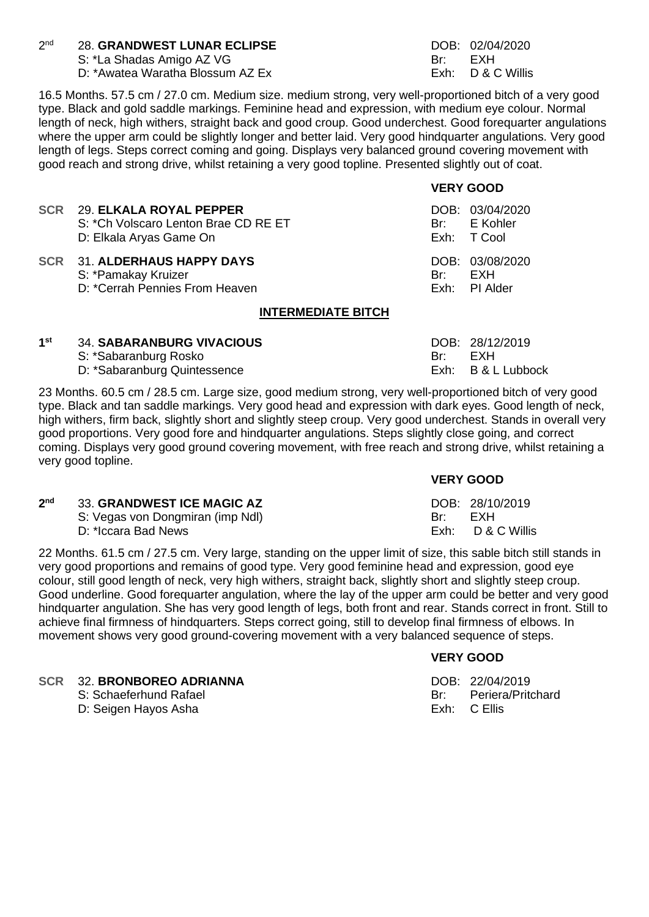#### $2<sub>nd</sub>$ 28. **GRANDWEST LUNAR ECLIPSE** DOB: 02/04/2020

S: \*La Shadas Amigo AZ VG Br: Br: EXH

D: \*Awatea Waratha Blossum AZ Ex Exh: D & C Willis

**VERY GOOD**

16.5 Months. 57.5 cm / 27.0 cm. Medium size. medium strong, very well-proportioned bitch of a very good type. Black and gold saddle markings. Feminine head and expression, with medium eye colour. Normal length of neck, high withers, straight back and good croup. Good underchest. Good forequarter angulations where the upper arm could be slightly longer and better laid. Very good hindquarter angulations. Very good length of legs. Steps correct coming and going. Displays very balanced ground covering movement with good reach and strong drive, whilst retaining a very good topline. Presented slightly out of coat.

|                                                                                                |       | .                                              |  |
|------------------------------------------------------------------------------------------------|-------|------------------------------------------------|--|
| SCR 29. ELKALA ROYAL PEPPER<br>S: *Ch Volscaro Lenton Brae CD RE ET<br>D: Elkala Aryas Game On |       | DOB: 03/04/2020<br>Br: E Kohler<br>Exh: T Cool |  |
| SCR 31. ALDERHAUS HAPPY DAYS<br>S: *Pamakay Kruizer<br>D: *Cerrah Pennies From Heaven          | Br: . | DOB: 03/08/2020<br>EXH<br>Exh: PI Alder        |  |
| $I\cup T$ for $I\cap I$ and $T\cap I$                                                          |       |                                                |  |

## **INTERMEDIATE BITCH**

| 1st | <b>34. SABARANBURG VIVACIOUS</b> |     | DOB: 28/12/2019    |
|-----|----------------------------------|-----|--------------------|
|     | S: *Sabaranburg Rosko            | Br∵ | FXH                |
|     | D: *Sabaranburg Quintessence     |     | Exh: B & L Lubbock |

23 Months. 60.5 cm / 28.5 cm. Large size, good medium strong, very well-proportioned bitch of very good type. Black and tan saddle markings. Very good head and expression with dark eyes. Good length of neck, high withers, firm back, slightly short and slightly steep croup. Very good underchest. Stands in overall very good proportions. Very good fore and hindquarter angulations. Steps slightly close going, and correct coming. Displays very good ground covering movement, with free reach and strong drive, whilst retaining a very good topline.

### **VERY GOOD**  $2<sub>nd</sub>$ **23. GRANDWEST ICE MAGIC AZ DOB: 28/10/2019** S: Vegas von Dongmiran (imp Ndl) Br: EXH D: \*Iccara Bad News **Exh: D & C Willis** D & C Willis

22 Months. 61.5 cm / 27.5 cm. Very large, standing on the upper limit of size, this sable bitch still stands in very good proportions and remains of good type. Very good feminine head and expression, good eye colour, still good length of neck, very high withers, straight back, slightly short and slightly steep croup. Good underline. Good forequarter angulation, where the lay of the upper arm could be better and very good hindquarter angulation. She has very good length of legs, both front and rear. Stands correct in front. Still to achieve final firmness of hindquarters. Steps correct going, still to develop final firmness of elbows. In movement shows very good ground-covering movement with a very balanced sequence of steps.

## **VERY GOOD**

**SCR** 32. **BRONBOREO ADRIANNA** DOB: 22/04/2019<br>S: Schaeferhund Rafael **DOB: 22/04/2019** Br: Periera/Pritchard

- - S: Schaeferhund Rafael Britannia Britannia Britannia Britannia Britannia Britannia Britannia Britannia Britannia
		- D: Seigen Hayos Asha Exh: C Ellis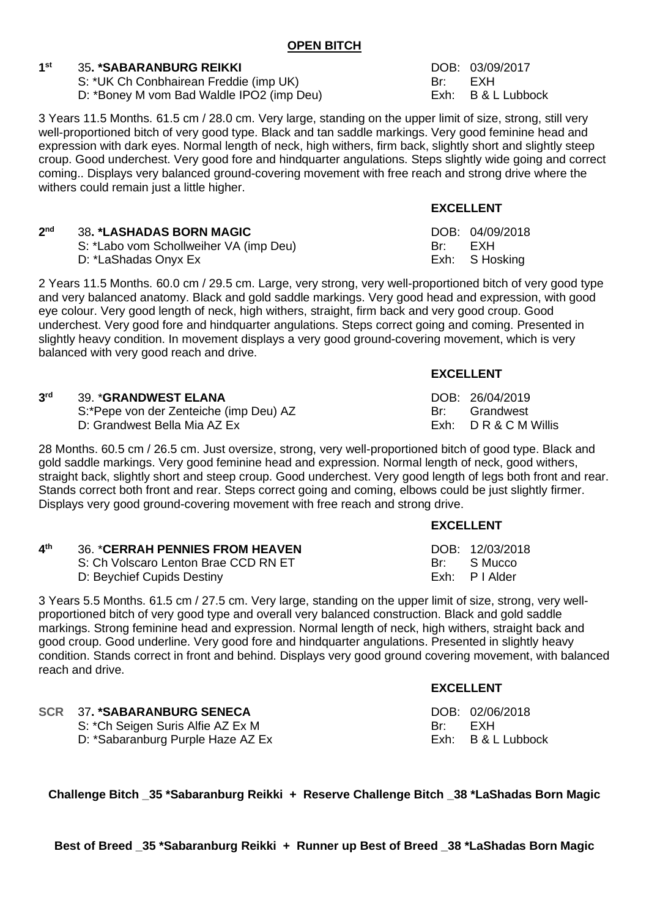## **OPEN BITCH**

#### **1 st** 35**. \*SABARANBURG REIKKI** DOB: 03/09/2017

S: \*UK Ch Conbhairean Freddie (imp UK) Br: EXH

D: \*Boney M vom Bad Waldle IPO2 (imp Deu) Exh: B & L Lubbock

3 Years 11.5 Months. 61.5 cm / 28.0 cm. Very large, standing on the upper limit of size, strong, still very well-proportioned bitch of very good type. Black and tan saddle markings. Very good feminine head and expression with dark eyes. Normal length of neck, high withers, firm back, slightly short and slightly steep croup. Good underchest. Very good fore and hindquarter angulations. Steps slightly wide going and correct coming.. Displays very balanced ground-covering movement with free reach and strong drive where the withers could remain just a little higher.

|                 |                                        |      | .               |
|-----------------|----------------------------------------|------|-----------------|
| 2 <sub>nd</sub> | <b>38. *LASHADAS BORN MAGIC</b>        |      | DOB: 04/09/2018 |
|                 | S: *Labo vom Schollweiher VA (imp Deu) | Br - | FXH             |
|                 | D: *LaShadas Onyx Ex                   |      | Exh: S Hosking  |

2 Years 11.5 Months. 60.0 cm / 29.5 cm. Large, very strong, very well-proportioned bitch of very good type and very balanced anatomy. Black and gold saddle markings. Very good head and expression, with good eye colour. Very good length of neck, high withers, straight, firm back and very good croup. Good underchest. Very good fore and hindquarter angulations. Steps correct going and coming. Presented in slightly heavy condition. In movement displays a very good ground-covering movement, which is very balanced with very good reach and drive.

| 3 <sup>rd</sup> | <b>39. *GRANDWEST ELANA</b>            |     | DOB: 26/04/2019  |
|-----------------|----------------------------------------|-----|------------------|
|                 | S:*Pepe von der Zenteiche (imp Deu) AZ | Br∵ | Grandwest        |
|                 | D: Grandwest Bella Mia AZ Ex           |     | Exh: DR&CMWillis |

28 Months. 60.5 cm / 26.5 cm. Just oversize, strong, very well-proportioned bitch of good type. Black and gold saddle markings. Very good feminine head and expression. Normal length of neck, good withers, straight back, slightly short and steep croup. Good underchest. Very good length of legs both front and rear. Stands correct both front and rear. Steps correct going and coming, elbows could be just slightly firmer. Displays very good ground-covering movement with free reach and strong drive.

| 4 <sup>th</sup> | <b>36. *CERRAH PENNIES FROM HEAVEN</b><br>S: Ch Volscaro Lenton Brae CCD RN ET | DOB: 12/03/2018<br>Br: S Mucco |
|-----------------|--------------------------------------------------------------------------------|--------------------------------|
|                 | D: Beychief Cupids Destiny                                                     | Exh: PIAlder                   |

3 Years 5.5 Months. 61.5 cm / 27.5 cm. Very large, standing on the upper limit of size, strong, very wellproportioned bitch of very good type and overall very balanced construction. Black and gold saddle markings. Strong feminine head and expression. Normal length of neck, high withers, straight back and good croup. Good underline. Very good fore and hindquarter angulations. Presented in slightly heavy condition. Stands correct in front and behind. Displays very good ground covering movement, with balanced reach and drive.

|                                   | --------- |                    |
|-----------------------------------|-----------|--------------------|
| SCR 37. *SABARANBURG SENECA       |           | DOB: 02/06/2018    |
| S: *Ch Seigen Suris Alfie AZ Ex M | Rr∙ ∴     | FXH                |
| D: *Sabaranburg Purple Haze AZ Ex |           | Exh: B & L Lubbock |

**Challenge Bitch \_35 \*Sabaranburg Reikki + Reserve Challenge Bitch \_38 \*LaShadas Born Magic**

**EXCELLENT**

**EXCELLENT**

**EXCELLENT**

**EXCELLENT**